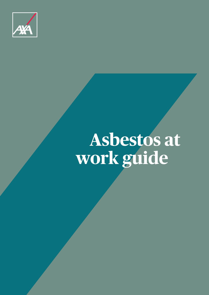

# **Asbestos at work guide**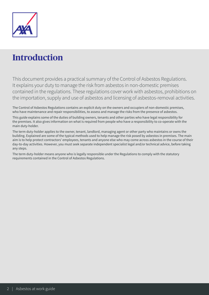

# **Introduction**

This document provides a practical summary of the Control of Asbestos Regulations. It explains your duty to manage the risk from asbestos in non‑domestic premises contained in the regulations. These regulations cover work with asbestos, prohibitions on the importation, supply and use of asbestos and licensing of asbestos-removal activities.

The Control of Asbestos Regulations contains an explicit duty on the owners and occupiers of non-domestic premises, who have maintenance and repair responsibilities, to assess and manage the risks from the presence of asbestos.

This guide explains some of the duties of building owners, tenants and other parties who have legal responsibility for the premises. It also gives information on what is required from people who have a responsibility to co-operate with the main duty‑holder.

The term duty‑holder applies to the owner, tenant, landlord, managing agent or other party who maintains or owns the building. Explained are some of the typical methods used to help manage the risk posed by asbestos in premises. The main aim is to help protect contractors' employees, tenants and anyone else who may come across asbestos in the course of their day-to-day activities. However, you must seek separate independent specialist legal and/or technical advice, before taking any steps.

The term duty‑holder means anyone who is legally responsible under the Regulations to comply with the statutory requirements contained in the Control of Asbestos Regulations.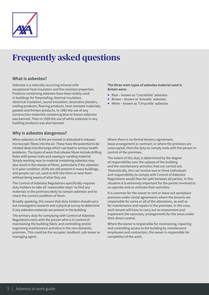

# **Frequently asked questions**

### **What is asbestos?**

Asbestos is a naturally occurring mineral with exceptional heat insulation and fire resistant properties. Products containing asbestos have been widely used in buildings for fireproofing, thermal insulation, electrical insulation, sound insulation, decorative plasters, roofing products, flooring products, heat resistant materials, gaskets and friction products. In 1985 the use of any construction materials containing blue or brown asbestos was banned. Then in 1999 the use of white asbestos in any building products was also banned.

#### **Why is asbestos dangerous?**

When asbestos or ACMs are moved or disturbed it releases microscopic fibres into the air. These have the potential to be inhaled deep into the lungs which can lead to serious health problems. The types of work that release fibres include drilling holes with power tools and sawing or sanding material. Simply working near to material containing asbestos may also result in the release of fibres, particularly if the asbestos is in poor condition. ACMs are still present in many buildings, and people can cut, sand or drill into them or near them without being aware of what they are.

The Control of Asbestos Regulations specifically requires duty-holders to take all 'reasonable steps' to find any materials in the premises likely to contain asbestos and to check the current condition of them.

Broadly speaking, this means that duty‑holders should carry out investigative research and a physical survey to determine if any asbestos materials are present in the building.

The primary duty for complying with Control of Asbestos Regulations rests with the person who is in control of maintaining the building fabric and controlling and/or organising maintenance activities in the non‑domestic premises. This could be the occupier, landlord, sub‑lessor or managing agent.

#### **The three main types of asbestos material used in Britain were:**

- ¡ Blue known as 'Crocidolite' asbestos
- Brown known as 'Amosite' asbestos
- White known as 'Chrysotile' asbestos

Where there is no formal tenancy agreement, lease arrangement or contract; or where the premises are unoccupied, then the duty to comply rests with the person in control of the premises.

The extent of this duty is determined by the degree of responsibility over the upkeep of the building and the maintenance activities that are carried out. Theoretically, this can involve two or three individuals and responsibility to comply with Control of Asbestos Regulations would then be split between all parties. In this situation it is extremely important for the parties involved to co‑operate and co‑ordinate their activities.

It is common for the owner to rent or lease out workplace premises under rental agreements where the tenants are responsible for some or all of the alterations, as well as for maintenance and repairs in the premises. In this case, each tenant will have to carry out an assessment and implement the necessary arrangements for the areas under their direct control.

Where the owner is responsible for maintaining, repairing and controlling access to the building by maintenance employees and contractors, the owner is responsible for completion of the work.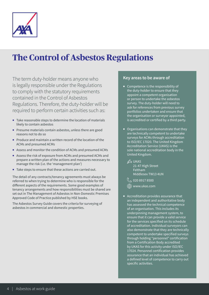

# **The Control of Asbestos Regulations**

The term duty-holder means anyone who is legally responsible under the Regulations to comply with the statutory requirements contained in the Control of Asbestos Regulations. Therefore, the duty‑holder will be required to perform certain activities such as:

- Take reasonable steps to determine the location of materials likely to contain asbestos
- ¡ Presume materials contain asbestos, unless there are good reasons not to do so
- ¡ Produce and maintain a written record of the location of the ACMs and presumed ACMs
- Assess and monitor the condition of ACMs and presumed ACMs
- Assess the risk of exposure from ACMs and presumed ACMs and prepare a written plan of the actions and measures necessary to manage the risk (i.e. the 'management plan')
- Take steps to ensure that these actions are carried out.

The detail of any contracts/tenancy agreements must always be referred to when trying to determine who is responsible for the different aspects of the requirements. Some good examples of tenancy arrangements and how responsibilities must be shared are set out in The Management of Asbestos in Non-Domestic Premises Approved Code of Practice published by HSE books.

The Asbestos Survey Guide covers the criteria for surveying of asbestos in commercial and domestic properties.

#### **Key areas to be aware of**

- Competence is the responsibility of the duty‑holder to ensure that they appoint a competent organisation or person to undertake the asbestos survey. The duty‑holder will need to ask for references from previous survey portfolios undertaken and ensure that the organisation or surveyor appointed, is accredited or certified by a third party.
- Organisations can demonstrate that they are technically competent to undertake surveys for ACMs through accreditation to ISO/IEC 17020. The United Kingdom Accreditation Service (UKAS) is the sole national accreditation body in the United Kingdom.
	- $\sqrt{2}$ ukas 21‑47 High Street Feltham Middlesex TW13 4UN
	- $\%$  020 8917 8500 www.ukas.com
- Accreditation provides assurance that an independent and authoritative body has assessed the technical competence of an organisation. This includes its underpinning management system, to ensure that it can provide a valid service for the services specified on its schedule of accreditation. Individual surveyors can also demonstrate that they are technically competent to undertake specified surveys through holding "personnel" certification from a Certification Body accredited by UKAS for this activity under ISO/IEC 17024. Personnel certification provides assurance that an individual has achieved a defined level of competence to carry out specific activities.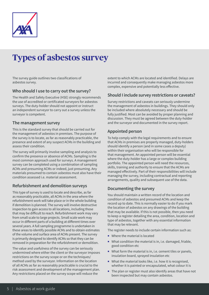

# **Types of asbestos survey**

The survey guide outlines two classifications of asbestos survey.

### **Who should I use to carry out the survey?**

The Health and Safety Executive (HSE) strongly recommends the use of accredited or certificated surveyors for asbestos surveys. The duty-holder should not appoint or instruct an independent surveyor to carry out a survey unless the surveyor is competent.

#### **The management survey**

This is the standard survey that should be carried out for the management of asbestos in premises. The purpose of the survey is to locate, as far as reasonably practicable, the presence and extent of any suspect ACMs in the building and assess their condition.

The survey will primarily involve sampling and analysis to confirm the presence or absence of ACMs. Sampling is the most common approach used for surveys. A management survey can be completed using a combination of sampling ACMs and presuming ACMs or indeed, just presuming. Any materials presumed to contain asbestos must also have their condition assessed i.e. material assessment.

### **Refurbishment and demolition surveys**

This type of survey is used to locate and describe, as far as reasonably practicable, all ACMs in the area where the refurbishment work will take place or in the whole building if demolition is planned. The survey will involve destructive inspection to gain access to all locations, including those that may be difficult to reach. Refurbishment work may vary from small scale to large projects. Small scale work may occur in different parts of a building at different times over several years. A full sampling programme is undertaken in these areas to identify possible ACMs and to obtain estimates of the volume and surface area of ACMs present. The survey is primarily designed to identify ACMs so that they can be removed in preparation for the refurbishment or demolition.

The value and usefulness of the survey can be seriously undermined where either the client or the surveyor imposes restrictions on the survey scope or on the techniques/ method used by the surveyor. Information on the location of all ACMs as far as reasonably practicable is crucial to the risk assessment and development of the management plan. Any restrictions placed on the survey scope will reduce the

extent to which ACMs are located and identified. Delays are incurred and consequently make managing asbestos more complex, expensive and potentially less effective.

### **Should I include survey restrictions or caveats?**

Survey restrictions and caveats can seriously undermine the management of asbestos in buildings. They should only be included where absolutely necessary and should be fully justified. Most can be avoided by proper planning and discussion. They must be agreed between the duty-holder and the surveyor and documented in the survey report.

### **Appointed person**

To help comply with the legal requirements and to ensure that ACMs in premises are properly managed, duty-holders should identify a person (and in some cases a deputy) within their organisation who will be responsible for that management. An appointed person will be essential where the duty-holder has a large or complex building portfolio. The appointed person will need the resources, skills, training and authority to ensure that the ACMs are managed effectively. Part of their responsibilities will include managing the survey, including contractual and reporting arrangements, quality and subsequent use of the data.

### **Documenting the survey**

You should maintain a written record of the location and condition of asbestos and presumed ACMs and keep the record up to date. This is normally easier to do if you mark the location of asbestos on any drawings of the building that may be available. If this is not possible, then you need to keep a register detailing the area, condition, location and type of asbestos, together with any essential information that may be relevant.

The register needs to include certain information such as:

- Where the material is located
- ¡ What condition the material is in, i.e. damaged, friable, good condition etc
- What form the material is in, i.e. cement tiles or panels, insulation board, sprayed insulation etc
- What the material looks like, i.e. how it is recognised, whether it is painted or encapsulated, what colour it is
- The plan or register must also identify areas that have not been inspected but may contain asbestos.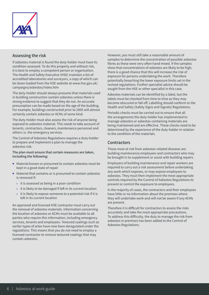

#### **Assessing the risk**

If asbestos material is found the duty-holder must have its condition assessed. To do this properly and without risk, it is best to employ a competent person or organisation. The Health and Safety Executive (HSE) maintain a list of accredited laboratories and surveyors, a copy of which can be down loaded from the HSE website at www.hse.gov.uk/ campaigns/asbestos/index.htm

The duty-holder should always presume that materials used in building construction contain asbestos unless there is strong evidence to suggest that they do not. An accurate presumption can be made based on the age of the building. For example, buildings constructed prior to 2005 will almost certainly contain asbestos or ACMs of some kind.

The duty-holder must also assess the risk of anyone being exposed to asbestos material. This needs to take account of tenants, contractors, cleaners, maintenance personnel and others i.e. the emergency services.

The Control of Asbestos Regulations requires a duty-holder to prepare and implement a plan to manage the asbestos risk.

#### **The plan must ensure that certain measures are taken, including the following:**

- Material known or presumed to contain asbestos must be kept in a good state of repair
- Material that contains or is presumed to contain asbestos is removed if:
	- » it is assessed as being in a poor condition
	- » it is likely to be damaged if left in its current location
	- » it is likely to expose someone to a potential risk if it is left in its current location

An approved and licensed HSE contractor must carry out the removal of asbestos materials. Information concerning the location of asbestos or ACMs must be available to all parties who require this information, including emergency services, tenants and employees. Textured coatings such as earlier types of artex have now been deregulated under the regulations. This means that you do not need to employ a licensed contractor to remove textured coatings that may contain asbestos.

However, you must still take a reasonable amount of samples to determine the concentration of possible asbestos fibres as these were very often hand mixed. If the samples show that concentrations of asbestos are likely to be high, there is a good chance that this will increase the risk of exposure for persons undertaking the work. Therefore potentially breaching the lower exposure limits set in the revised regulations. Further specialist advice should be sought from the HSE or other specialist in this case.

Asbestos materials can be identified by a label, but the labels must be checked from time to time as they may become obscured or fall off. Labelling should conform to the Health and Safety (Safety Signs and Signals) Regulations.

Periodic checks must be carried out to ensure that all the arrangements the duty-holder has implemented to manage asbestos or asbestos‑containing materials are being maintained and are effective. These checks need to be determined by the experience of the duty‑holder in relation to the condition of the materials.

### **Contractors**

Those most at risk from asbestos‑related diseases are building maintenance employees and contractors who may be brought in to supplement or assist with building repairs.

Employers of building maintenance and repair workers are required to carry out a risk assessment before undertaking any work which exposes, or may expose employees to asbestos. They must then implement the most appropriate controls required by the Control of Asbestos Regulations to prevent or control the exposure to employees.

In the majority of cases, the contractors and their employees have little or no information about the premises where they will undertake work and will not be aware if any ACMs are present.

Therefore it is difficult for contractors to assess the risks accurately and take the most appropriate precautions. To address this difficulty, the duty to manage the risk from asbestos in premises has been added to the Control of Asbestos Regulations.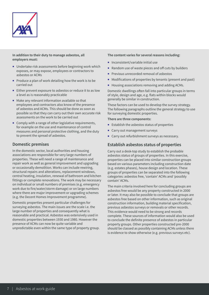

#### **In addition to their duty to manage asbestos, all employers must:**

- Undertake risk assessments before beginning work which exposes, or may expose, employees or contractors to asbestos or ACMs
- $\blacksquare$  Produce a plan of work detailing how the work is to be carried out
- Either prevent exposure to asbestos or reduce it to as low a level as is reasonably practicable
- Make any relevant information available so that employees and contractors also know of the presence of asbestos and ACMs. This should be done as soon as possible so that they can carry out their own accurate risk assessments on the work to be carried out
- Comply with a range of other legislative requirements, for example on the use and maintenance of control measures and personal protective clothing, and the duty to prevent the spread of asbestos.

#### **Domestic premises**

In the domestic sector, local authorities and housing associations are responsible for very large numbers of properties. These will need a range of maintenance and repair work as well as general improvement and upgrading or occasionally demolition. Works can include rewiring, structural repairs and alterations, replacement windows, central heating, insulation, renewal of bathroom and kitchen fittings or complete renovations. The work may be necessary on individual or small numbers of premises (e.g. emergency work due to fire/water/storm damage) or on large numbers where there are major improvement or upgrading schemes (e.g. the Decent Homes Improvement programme).

Domestic properties present particular challenges for surveying asbestos. The main issues are the scale i.e. the large number of properties and consequently what is reasonable and practical. Asbestos was extensively used in domestic properties between 1930 and 1980. However the presence of ACMs can now be quite variable and unpredictable even within the same type of property group.

#### **The content varies for several reasons including:**

- **·** Inconsistent/variable initial use
- Random use of waste pieces and off cuts by builders
- ¡ Previous unrecorded removal of asbestos
- Modifications of properties by tenants (present and past)
- Housing associations removing and adding ACMs.

Domestic dwellings often fall into particular groups in terms of style, design and age, e.g. flats within blocks would generally be similar in construction.

These factors can be used to develop the survey strategy. The following paragraphs outline the general strategy to use for surveying domestic properties.

#### **There are three components:**

- Establish the asbestos status of properties
- Carry out management surveys
- Carry out refurbishment surveys as necessary.

### **Establish asbestos status of properties**

Carry out a desk‑top study to establish the probable asbestos status of groups of properties. In this exercise, properties can be placed into similar construction groups based on various parameters including construction date (e.g. estates phases), house design and location. These groups of properties can be separated into the following categories: asbestos free, 'contain' ACMs and 'possibly contain' ACMs.

The main criteria involved here for concluding groups are asbestos free would be any property constructed in 2000 or later. It may also be possible to conclude that groups are asbestos free based on other information, such as original construction information, building material specification, previous asbestos surveys or removals or other records. This evidence would need to be strong and records complete. These sources of information would also be used to conclude the definite presence of asbestos in particular property groups. Other properties constructed pre‑2000 should be classed as possibly containing ACMs unless there is evidence to show otherwise (e.g. previous surveys etc).